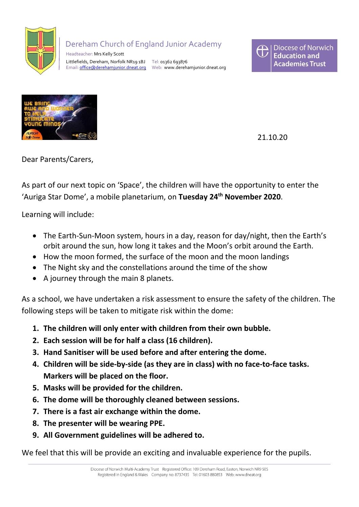

## Dereham Church of England Junior Academy

 Headteacher: Mrs Kelly Scott Littlefields, Dereham, Norfolk NR19 1BJ Tel: 01362 693876 Email: [office@derehamjunior.dneat.org](mailto:office@derehamjunior.dneat.org) Web: www.derehamjunior.dneat.org





21.10.20

Dear Parents/Carers,

As part of our next topic on 'Space', the children will have the opportunity to enter the 'Auriga Star Dome', a mobile planetarium, on **Tuesday 24th November 2020**.

Learning will include:

- The Earth-Sun-Moon system, hours in a day, reason for day/night, then the Earth's orbit around the sun, how long it takes and the Moon's orbit around the Earth.
- How the moon formed, the surface of the moon and the moon landings
- The Night sky and the constellations around the time of the show
- A journey through the main 8 planets.

As a school, we have undertaken a risk assessment to ensure the safety of the children. The following steps will be taken to mitigate risk within the dome:

- **1. The children will only enter with children from their own bubble.**
- **2. Each session will be for half a class (16 children).**
- **3. Hand Sanitiser will be used before and after entering the dome.**
- **4. Children will be side-by-side (as they are in class) with no face-to-face tasks. Markers will be placed on the floor.**
- **5. Masks will be provided for the children.**
- **6. The dome will be thoroughly cleaned between sessions.**
- **7. There is a fast air exchange within the dome.**
- **8. The presenter will be wearing PPE.**
- **9. All Government guidelines will be adhered to.**

We feel that this will be provide an exciting and invaluable experience for the pupils.